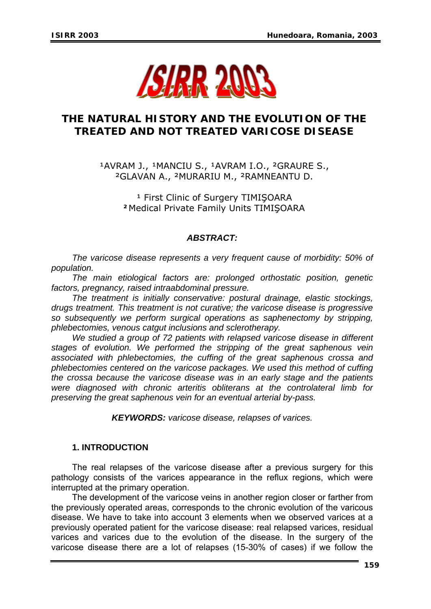

## **THE NATURAL HISTORY AND THE EVOLUTION OF THE TREATED AND NOT TREATED VARICOSE DISEASE**

1AVRAM J., <sup>1</sup>MANCIU S., <sup>1</sup>AVRAM I.O., <sup>2</sup>GRAURE S., ²GLAVAN A., ²MURARIU M., ²RAMNEANTU D.

> <sup>1</sup> First Clinic of Surgery TIMISOARA **²**Medical Private Family Units TIMIŞOARA

## *ABSTRACT:*

*The varicose disease represents a very frequent cause of morbidity: 50% of population.* 

*The main etiological factors are: prolonged orthostatic position, genetic factors, pregnancy, raised intraabdominal pressure.* 

*The treatment is initially conservative: postural drainage, elastic stockings, drugs treatment. This treatment is not curative; the varicose disease is progressive so subsequently we perform surgical operations as saphenectomy by stripping, phlebectomies, venous catgut inclusions and sclerotherapy.* 

*We studied a group of 72 patients with relapsed varicose disease in different stages of evolution. We performed the stripping of the great saphenous vein associated with phlebectomies, the cuffing of the great saphenous crossa and phlebectomies centered on the varicose packages. We used this method of cuffing the crossa because the varicose disease was in an early stage and the patients were diagnosed with chronic arteritis obliterans at the controlateral limb for preserving the great saphenous vein for an eventual arterial by-pass.* 

*KEYWORDS: varicose disease, relapses of varices.* 

### **1. INTRODUCTION**

The real relapses of the varicose disease after a previous surgery for this pathology consists of the varices appearance in the reflux regions, which were interrupted at the primary operation.

The development of the varicose veins in another region closer or farther from the previously operated areas, corresponds to the chronic evolution of the varicous disease. We have to take into account 3 elements when we observed varices at a previously operated patient for the varicose disease: real relapsed varices, residual varices and varices due to the evolution of the disease. In the surgery of the varicose disease there are a lot of relapses (15-30% of cases) if we follow the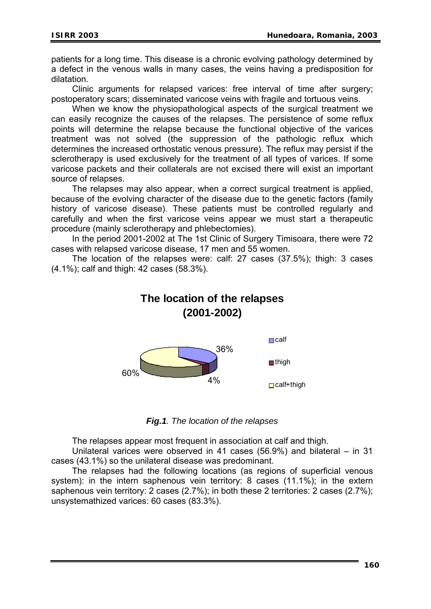patients for a long time. This disease is a chronic evolving pathology determined by a defect in the venous walls in many cases, the veins having a predisposition for dilatation.

Clinic arguments for relapsed varices: free interval of time after surgery; postoperatory scars; disseminated varicose veins with fragile and tortuous veins.

When we know the physiopathological aspects of the surgical treatment we can easily recognize the causes of the relapses. The persistence of some reflux points will determine the relapse because the functional objective of the varices treatment was not solved (the suppression of the pathologic reflux which determines the increased orthostatic venous pressure). The reflux may persist if the sclerotherapy is used exclusively for the treatment of all types of varices. If some varicose packets and their collaterals are not excised there will exist an important source of relapses.

The relapses may also appear, when a correct surgical treatment is applied, because of the evolving character of the disease due to the genetic factors (family history of varicose disease). These patients must be controlled regularly and carefully and when the first varicose veins appear we must start a therapeutic procedure (mainly sclerotherapy and phlebectomies).

In the period 2001-2002 at The 1st Clinic of Surgery Timisoara, there were 72 cases with relapsed varicose disease, 17 men and 55 women.

The location of the relapses were: calf: 27 cases (37.5%); thigh: 3 cases (4.1%); calf and thigh: 42 cases (58.3%).

# **The location of the relapses (2001-2002)**



*Fig.1. The location of the relapses* 

The relapses appear most frequent in association at calf and thigh.

Unilateral varices were observed in 41 cases (56.9%) and bilateral – in 31 cases (43.1%) so the unilateral disease was predominant.

The relapses had the following locations (as regions of superficial venous system): in the intern saphenous vein territory: 8 cases (11.1%); in the extern saphenous vein territory: 2 cases (2.7%); in both these 2 territories: 2 cases (2.7%); unsystemathized varices: 60 cases (83.3%).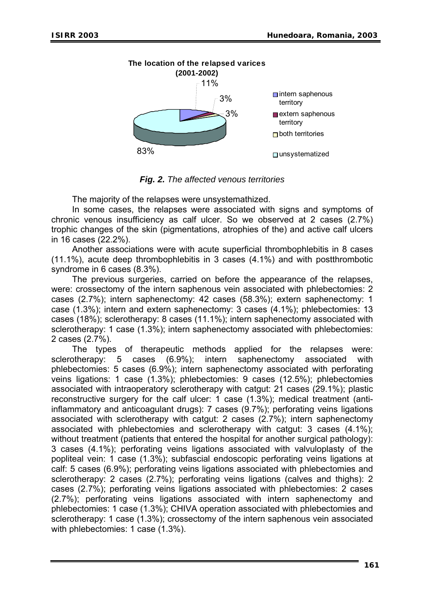

*Fig. 2. The affected venous territories* 

The majority of the relapses were unsystemathized.

In some cases, the relapses were associated with signs and symptoms of chronic venous insufficiency as calf ulcer. So we observed at 2 cases (2.7%) trophic changes of the skin (pigmentations, atrophies of the) and active calf ulcers in 16 cases (22.2%).

Another associations were with acute superficial thrombophlebitis in 8 cases (11.1%), acute deep thrombophlebitis in 3 cases (4.1%) and with postthrombotic syndrome in 6 cases (8.3%).

The previous surgeries, carried on before the appearance of the relapses, were: crossectomy of the intern saphenous vein associated with phlebectomies: 2 cases (2.7%); intern saphenectomy: 42 cases (58.3%); extern saphenectomy: 1 case (1.3%); intern and extern saphenectomy: 3 cases (4.1%); phlebectomies: 13 cases (18%); sclerotherapy: 8 cases (11.1%); intern saphenectomy associated with sclerotherapy: 1 case (1.3%); intern saphenectomy associated with phlebectomies: 2 cases (2.7%).

The types of therapeutic methods applied for the relapses were: sclerotherapy: 5 cases (6.9%); intern saphenectomy associated with phlebectomies: 5 cases (6.9%); intern saphenectomy associated with perforating veins ligations: 1 case (1.3%); phlebectomies: 9 cases (12.5%); phlebectomies associated with intraoperatory sclerotherapy with catgut: 21 cases (29.1%); plastic reconstructive surgery for the calf ulcer: 1 case (1.3%); medical treatment (antiinflammatory and anticoagulant drugs): 7 cases (9.7%); perforating veins ligations associated with sclerotherapy with catgut: 2 cases (2.7%); intern saphenectomy associated with phlebectomies and sclerotherapy with catgut: 3 cases (4.1%); without treatment (patients that entered the hospital for another surgical pathology): 3 cases (4.1%); perforating veins ligations associated with valvuloplasty of the popliteal vein: 1 case (1.3%); subfascial endoscopic perforating veins ligations at calf: 5 cases (6.9%); perforating veins ligations associated with phlebectomies and sclerotherapy: 2 cases (2.7%); perforating veins ligations (calves and thighs): 2 cases (2.7%); perforating veins ligations associated with phlebectomies: 2 cases (2.7%); perforating veins ligations associated with intern saphenectomy and phlebectomies: 1 case (1.3%); CHIVA operation associated with phlebectomies and sclerotherapy: 1 case (1.3%); crossectomy of the intern saphenous vein associated with phlebectomies: 1 case (1.3%).